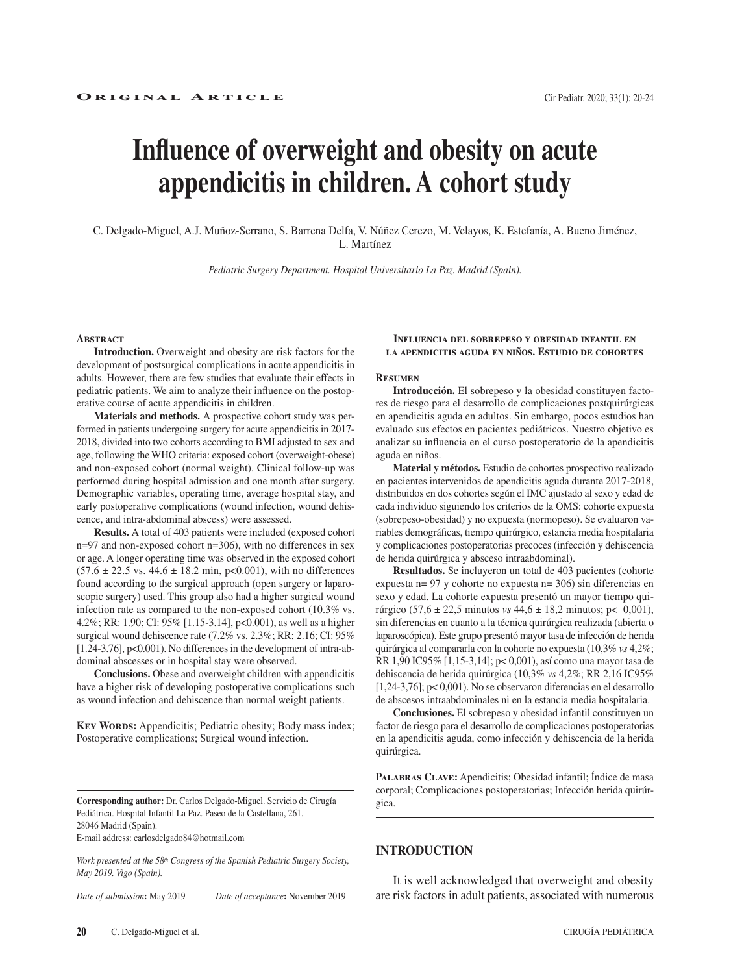# **Influence of overweight and obesity on acute appendicitis in children. A cohort study**

C. Delgado-Miguel, A.J. Muñoz-Serrano, S. Barrena Delfa, V. Núñez Cerezo, M. Velayos, K. Estefanía, A. Bueno Jiménez, L. Martínez

*Pediatric Surgery Department. Hospital Universitario La Paz. Madrid (Spain).*

#### **Abstract**

**Introduction.** Overweight and obesity are risk factors for the development of postsurgical complications in acute appendicitis in adults. However, there are few studies that evaluate their effects in pediatric patients. We aim to analyze their influence on the postoperative course of acute appendicitis in children.

**Materials and methods.** A prospective cohort study was performed in patients undergoing surgery for acute appendicitis in 2017- 2018, divided into two cohorts according to BMI adjusted to sex and age, following the WHO criteria: exposed cohort (overweight-obese) and non-exposed cohort (normal weight). Clinical follow-up was performed during hospital admission and one month after surgery. Demographic variables, operating time, average hospital stay, and early postoperative complications (wound infection, wound dehiscence, and intra-abdominal abscess) were assessed.

**Results.** A total of 403 patients were included (exposed cohort n=97 and non-exposed cohort n=306), with no differences in sex or age. A longer operating time was observed in the exposed cohort  $(57.6 \pm 22.5 \text{ vs. } 44.6 \pm 18.2 \text{ min}, \text{ p<0.001}),$  with no differences found according to the surgical approach (open surgery or laparoscopic surgery) used. This group also had a higher surgical wound infection rate as compared to the non-exposed cohort (10.3% vs. 4.2%; RR: 1.90; CI: 95% [1.15-3.14], p<0.001), as well as a higher surgical wound dehiscence rate (7.2% vs. 2.3%; RR: 2.16; CI: 95% [1.24-3.76], p<0.001). No differences in the development of intra-abdominal abscesses or in hospital stay were observed.

**Conclusions.** Obese and overweight children with appendicitis have a higher risk of developing postoperative complications such as wound infection and dehiscence than normal weight patients.

KEY WORDS: Appendicitis; Pediatric obesity; Body mass index; Postoperative complications; Surgical wound infection.

**Corresponding author:** Dr. Carlos Delgado-Miguel. Servicio de Cirugía Pediátrica. Hospital Infantil La Paz. Paseo de la Castellana, 261. 28046 Madrid (Spain).

E-mail address: carlosdelgado84@hotmail.com

*Work presented at the 58th Congress of the Spanish Pediatric Surgery Society, May 2019. Vigo (Spain).*

*Date of submission***:** May 2019 *Date of acceptance***:** November 2019

**Conclusiones.** El sobrepeso y obesidad infantil constituyen un factor de riesgo para el desarrollo de complicaciones postoperatorias en la apendicitis aguda, como infección y dehiscencia de la herida quirúrgica.

PALABRAS CLAVE: Apendicitis; Obesidad infantil; Indice de masa corporal; Complicaciones postoperatorias; Infección herida quirúrgica.

# **INTRODUCTION**

It is well acknowledged that overweight and obesity are risk factors in adult patients, associated with numerous

**Influencia del sobrepeso y obesidad infantil en la apendicitis aguda en niños. Estudio de cohortes**

#### **Resumen**

**Introducción.** El sobrepeso y la obesidad constituyen factores de riesgo para el desarrollo de complicaciones postquirúrgicas en apendicitis aguda en adultos. Sin embargo, pocos estudios han evaluado sus efectos en pacientes pediátricos. Nuestro objetivo es analizar su influencia en el curso postoperatorio de la apendicitis aguda en niños.

**Material y métodos.** Estudio de cohortes prospectivo realizado en pacientes intervenidos de apendicitis aguda durante 2017-2018, distribuidos en dos cohortes según el IMC ajustado al sexo y edad de cada individuo siguiendo los criterios de la OMS: cohorte expuesta (sobrepeso-obesidad) y no expuesta (normopeso). Se evaluaron variables demográficas, tiempo quirúrgico, estancia media hospitalaria y complicaciones postoperatorias precoces (infección y dehiscencia de herida quirúrgica y absceso intraabdominal).

**Resultados.** Se incluyeron un total de 403 pacientes (cohorte expuesta n= 97 y cohorte no expuesta n= 306) sin diferencias en sexo y edad. La cohorte expuesta presentó un mayor tiempo quirúrgico (57,6 ± 22,5 minutos *vs* 44,6 ± 18,2 minutos; p< 0,001), sin diferencias en cuanto a la técnica quirúrgica realizada (abierta o laparoscópica). Este grupo presentó mayor tasa de infección de herida quirúrgica al compararla con la cohorte no expuesta (10,3% *vs* 4,2%; RR 1,90 IC95% [1,15-3,14]; p< 0,001), así como una mayor tasa de dehiscencia de herida quirúrgica (10,3% *vs* 4,2%; RR 2,16 IC95% [1,24-3,76]; p< 0,001). No se observaron diferencias en el desarrollo de abscesos intraabdominales ni en la estancia media hospitalaria.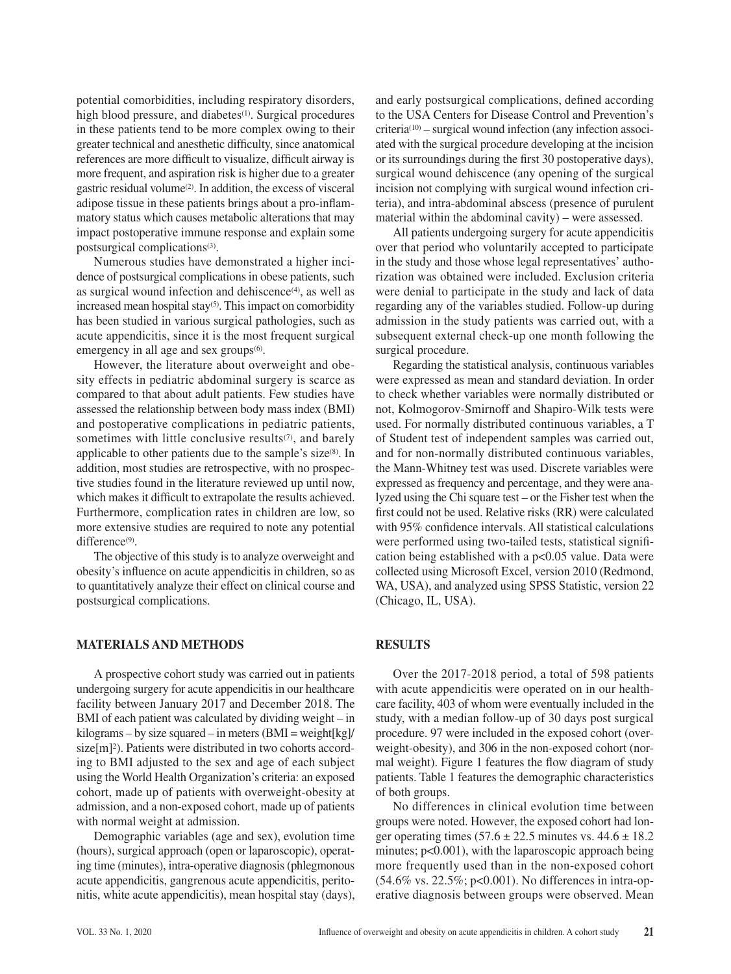potential comorbidities, including respiratory disorders, high blood pressure, and diabetes<sup>(1)</sup>. Surgical procedures in these patients tend to be more complex owing to their greater technical and anesthetic difficulty, since anatomical references are more difficult to visualize, difficult airway is more frequent, and aspiration risk is higher due to a greater gastric residual volume(2). In addition, the excess of visceral adipose tissue in these patients brings about a pro-inflammatory status which causes metabolic alterations that may impact postoperative immune response and explain some postsurgical complications(3).

Numerous studies have demonstrated a higher incidence of postsurgical complications in obese patients, such as surgical wound infection and dehiscence $(4)$ , as well as increased mean hospital stay<sup>(5)</sup>. This impact on comorbidity has been studied in various surgical pathologies, such as acute appendicitis, since it is the most frequent surgical emergency in all age and sex groups $(6)$ .

However, the literature about overweight and obesity effects in pediatric abdominal surgery is scarce as compared to that about adult patients. Few studies have assessed the relationship between body mass index (BMI) and postoperative complications in pediatric patients, sometimes with little conclusive results $(7)$ , and barely applicable to other patients due to the sample's size $(8)$ . In addition, most studies are retrospective, with no prospective studies found in the literature reviewed up until now, which makes it difficult to extrapolate the results achieved. Furthermore, complication rates in children are low, so more extensive studies are required to note any potential difference<sup>(9)</sup>.

The objective of this study is to analyze overweight and obesity's influence on acute appendicitis in children, so as to quantitatively analyze their effect on clinical course and postsurgical complications.

## **MATERIALS AND METHODS**

A prospective cohort study was carried out in patients undergoing surgery for acute appendicitis in our healthcare facility between January 2017 and December 2018. The BMI of each patient was calculated by dividing weight – in kilograms – by size squared – in meters  $(BMI = weight[kg]/$ size[m]<sup>2</sup>). Patients were distributed in two cohorts according to BMI adjusted to the sex and age of each subject using the World Health Organization's criteria: an exposed cohort, made up of patients with overweight-obesity at admission, and a non-exposed cohort, made up of patients with normal weight at admission.

Demographic variables (age and sex), evolution time (hours), surgical approach (open or laparoscopic), operating time (minutes), intra-operative diagnosis (phlegmonous acute appendicitis, gangrenous acute appendicitis, peritonitis, white acute appendicitis), mean hospital stay (days), and early postsurgical complications, defined according to the USA Centers for Disease Control and Prevention's  $criterion(10) - surgical$  wound infection (any infection associated with the surgical procedure developing at the incision or its surroundings during the first 30 postoperative days), surgical wound dehiscence (any opening of the surgical incision not complying with surgical wound infection criteria), and intra-abdominal abscess (presence of purulent material within the abdominal cavity) – were assessed.

All patients undergoing surgery for acute appendicitis over that period who voluntarily accepted to participate in the study and those whose legal representatives' authorization was obtained were included. Exclusion criteria were denial to participate in the study and lack of data regarding any of the variables studied. Follow-up during admission in the study patients was carried out, with a subsequent external check-up one month following the surgical procedure.

Regarding the statistical analysis, continuous variables were expressed as mean and standard deviation. In order to check whether variables were normally distributed or not, Kolmogorov-Smirnoff and Shapiro-Wilk tests were used. For normally distributed continuous variables, a T of Student test of independent samples was carried out, and for non-normally distributed continuous variables, the Mann-Whitney test was used. Discrete variables were expressed as frequency and percentage, and they were analyzed using the Chi square test – or the Fisher test when the first could not be used. Relative risks (RR) were calculated with 95% confidence intervals. All statistical calculations were performed using two-tailed tests, statistical signification being established with a p<0.05 value. Data were collected using Microsoft Excel, version 2010 (Redmond, WA, USA), and analyzed using SPSS Statistic, version 22 (Chicago, IL, USA).

## **RESULTS**

Over the 2017-2018 period, a total of 598 patients with acute appendicitis were operated on in our healthcare facility, 403 of whom were eventually included in the study, with a median follow-up of 30 days post surgical procedure. 97 were included in the exposed cohort (overweight-obesity), and 306 in the non-exposed cohort (normal weight). Figure 1 features the flow diagram of study patients. Table 1 features the demographic characteristics of both groups.

No differences in clinical evolution time between groups were noted. However, the exposed cohort had longer operating times  $(57.6 \pm 22.5 \text{ minutes vs. } 44.6 \pm 18.2 \text{ m}$ minutes;  $p<0.001$ ), with the laparoscopic approach being more frequently used than in the non-exposed cohort (54.6% vs. 22.5%; p<0.001). No differences in intra-operative diagnosis between groups were observed. Mean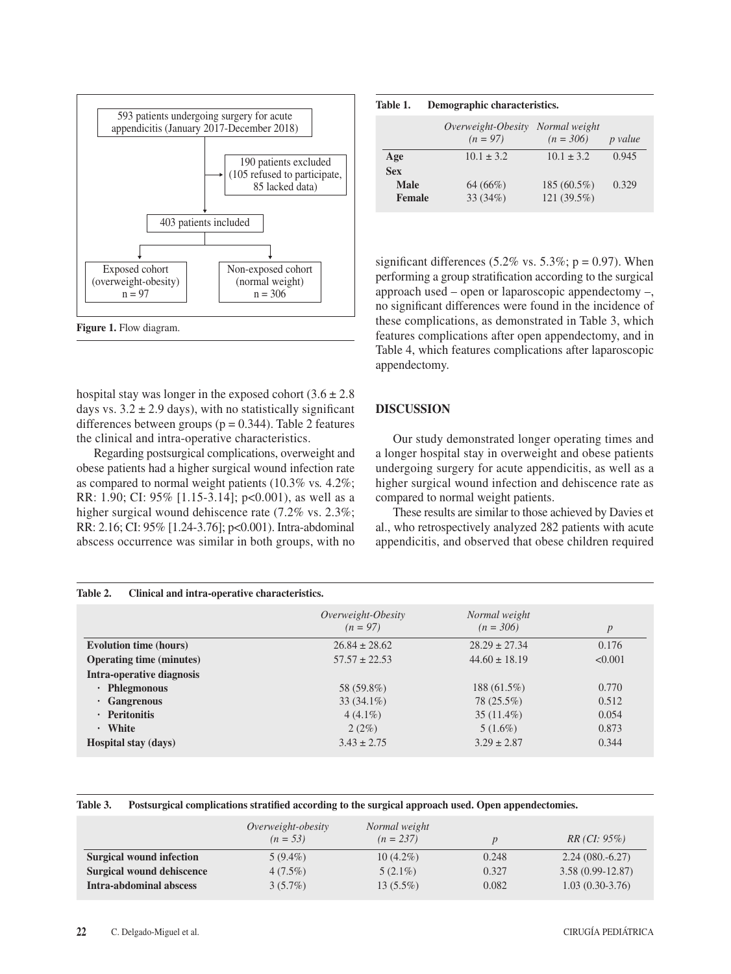

Figure 1. Flow diagram.

hospital stay was longer in the exposed cohort  $(3.6 \pm 2.8)$ days vs.  $3.2 \pm 2.9$  days), with no statistically significant differences between groups ( $p = 0.344$ ). Table 2 features the clinical and intra-operative characteristics.

Regarding postsurgical complications, overweight and obese patients had a higher surgical wound infection rate as compared to normal weight patients (10.3% vs*.* 4.2%; RR: 1.90; CI: 95% [1.15-3.14]; p<0.001), as well as a higher surgical wound dehiscence rate (7.2% vs. 2.3%; RR: 2.16; CI: 95% [1.24-3.76]; p<0.001). Intra-abdominal abscess occurrence was similar in both groups, with no

| Table 1. | Demographic characteristics. |
|----------|------------------------------|
|----------|------------------------------|

|               | Overweight-Obesity<br>$(n = 97)$ | Normal weight<br>$(n = 306)$ | p value |
|---------------|----------------------------------|------------------------------|---------|
| Age           | $10.1 \pm 3.2$                   | $10.1 \pm 3.2$               | 0.945   |
| <b>Sex</b>    |                                  |                              |         |
| <b>Male</b>   | 64 (66%)                         | 185 (60.5%)                  | 0.329   |
| <b>Female</b> | 33 (34%)                         | 121 (39.5%)                  |         |
|               |                                  |                              |         |

significant differences (5.2% vs. 5.3%;  $p = 0.97$ ). When performing a group stratification according to the surgical approach used – open or laparoscopic appendectomy –, no significant differences were found in the incidence of these complications, as demonstrated in Table 3, which features complications after open appendectomy, and in Table 4, which features complications after laparoscopic appendectomy.

## **DISCUSSION**

Our study demonstrated longer operating times and a longer hospital stay in overweight and obese patients undergoing surgery for acute appendicitis, as well as a higher surgical wound infection and dehiscence rate as compared to normal weight patients.

These results are similar to those achieved by Davies et al., who retrospectively analyzed 282 patients with acute appendicitis, and observed that obese children required

| Table 2.<br>Clinical and intra-operative characteristics. |                                 |                                  |                              |         |  |
|-----------------------------------------------------------|---------------------------------|----------------------------------|------------------------------|---------|--|
|                                                           |                                 | Overweight-Obesity<br>$(n = 97)$ | Normal weight<br>$(n = 306)$ | p       |  |
|                                                           | <b>Evolution time (hours)</b>   | $26.84 \pm 28.62$                | $28.29 \pm 27.34$            | 0.176   |  |
|                                                           | <b>Operating time (minutes)</b> | $57.57 \pm 22.53$                | $44.60 \pm 18.19$            | < 0.001 |  |
|                                                           | Intra-operative diagnosis       |                                  |                              |         |  |
|                                                           | $\cdot$ Phlegmonous             | 58 (59.8%)                       | $188(61.5\%)$                | 0.770   |  |
| $\cdot$ Gangrenous                                        |                                 | $33(34.1\%)$                     | 78 (25.5%)                   | 0.512   |  |
| · Peritonitis                                             |                                 | $4(4.1\%)$                       | $35(11.4\%)$                 | 0.054   |  |
| · White                                                   |                                 | 2(2%)                            | $5(1.6\%)$                   | 0.873   |  |
|                                                           | <b>Hospital stay (days)</b>     | $3.43 \pm 2.75$                  | $3.29 \pm 2.87$              | 0.344   |  |

#### **Table 3. Postsurgical complications stratified according to the surgical approach used. Open appendectomies.**

|                                 | Overweight-obesity<br>$(n = 53)$ | Normal weight<br>$(n = 237)$ |       | $RR (CI: 95\%)$    |
|---------------------------------|----------------------------------|------------------------------|-------|--------------------|
| <b>Surgical wound infection</b> | $5(9.4\%)$                       | $10(4.2\%)$                  | 0.248 | $2.24(080,-6.27)$  |
| Surgical wound dehiscence       | $4(7.5\%)$                       | $5(2.1\%)$                   | 0.327 | $3.58(0.99-12.87)$ |
| Intra-abdominal abscess         | $3(5.7\%)$                       | $13(5.5\%)$                  | 0.082 | $1.03(0.30-3.76)$  |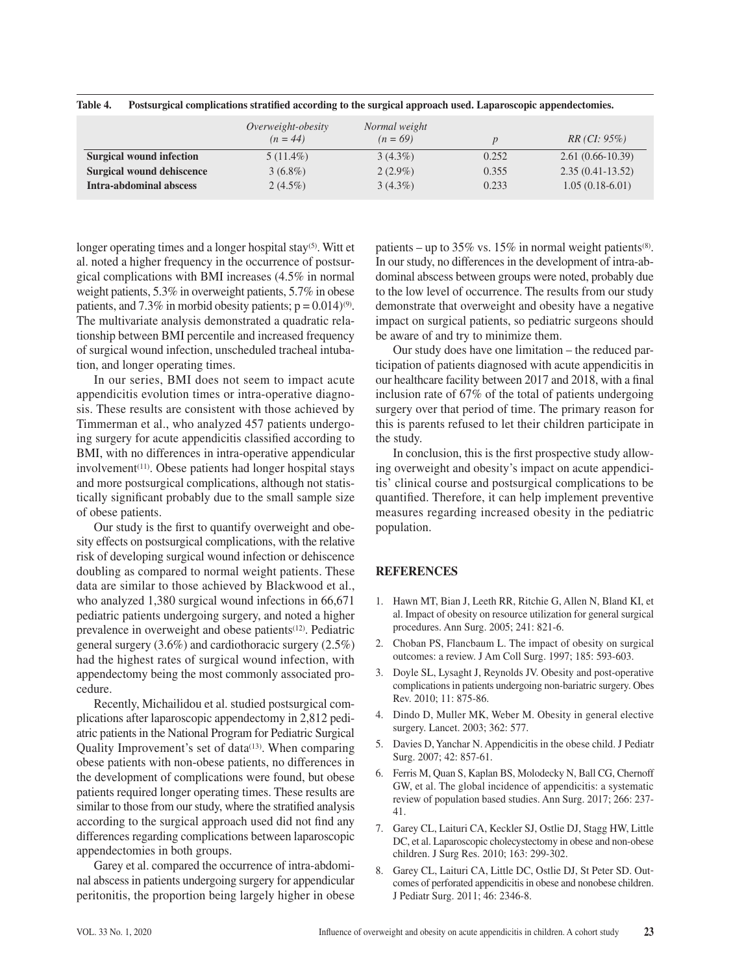|                                  | Overweight-obesity<br>$(n = 44)$ | Normal weight<br>$(n = 69)$ |       | RR (CI: 95%)       |
|----------------------------------|----------------------------------|-----------------------------|-------|--------------------|
| <b>Surgical wound infection</b>  | $5(11.4\%)$                      | $3(4.3\%)$                  | 0.252 | $2.61(0.66-10.39)$ |
| <b>Surgical wound dehiscence</b> | $3(6.8\%)$                       | $2(2.9\%)$                  | 0.355 | $2.35(0.41-13.52)$ |
| Intra-abdominal abscess          | $2(4.5\%)$                       | $3(4.3\%)$                  | 0.233 | $1.05(0.18-6.01)$  |

**Table 4. Postsurgical complications stratified according to the surgical approach used. Laparoscopic appendectomies.**

longer operating times and a longer hospital stay<sup>(5)</sup>. Witt et al. noted a higher frequency in the occurrence of postsurgical complications with BMI increases (4.5% in normal weight patients, 5.3% in overweight patients, 5.7% in obese patients, and 7.3% in morbid obesity patients;  $p = 0.014$ )<sup>(9)</sup>. The multivariate analysis demonstrated a quadratic relationship between BMI percentile and increased frequency of surgical wound infection, unscheduled tracheal intubation, and longer operating times.

In our series, BMI does not seem to impact acute appendicitis evolution times or intra-operative diagnosis. These results are consistent with those achieved by Timmerman et al., who analyzed 457 patients undergoing surgery for acute appendicitis classified according to BMI, with no differences in intra-operative appendicular involvement<sup>(11)</sup>. Obese patients had longer hospital stays and more postsurgical complications, although not statistically significant probably due to the small sample size of obese patients.

Our study is the first to quantify overweight and obesity effects on postsurgical complications, with the relative risk of developing surgical wound infection or dehiscence doubling as compared to normal weight patients. These data are similar to those achieved by Blackwood et al., who analyzed 1,380 surgical wound infections in 66,671 pediatric patients undergoing surgery, and noted a higher prevalence in overweight and obese patients<sup>(12)</sup>. Pediatric general surgery (3.6%) and cardiothoracic surgery (2.5%) had the highest rates of surgical wound infection, with appendectomy being the most commonly associated procedure.

Recently, Michailidou et al. studied postsurgical complications after laparoscopic appendectomy in 2,812 pediatric patients in the National Program for Pediatric Surgical Quality Improvement's set of data<sup>(13)</sup>. When comparing obese patients with non-obese patients, no differences in the development of complications were found, but obese patients required longer operating times. These results are similar to those from our study, where the stratified analysis according to the surgical approach used did not find any differences regarding complications between laparoscopic appendectomies in both groups.

Garey et al. compared the occurrence of intra-abdominal abscess in patients undergoing surgery for appendicular peritonitis, the proportion being largely higher in obese patients – up to 35% vs. 15% in normal weight patients<sup>(8)</sup>. In our study, no differences in the development of intra-abdominal abscess between groups were noted, probably due to the low level of occurrence. The results from our study demonstrate that overweight and obesity have a negative impact on surgical patients, so pediatric surgeons should be aware of and try to minimize them.

Our study does have one limitation – the reduced participation of patients diagnosed with acute appendicitis in our healthcare facility between 2017 and 2018, with a final inclusion rate of 67% of the total of patients undergoing surgery over that period of time. The primary reason for this is parents refused to let their children participate in the study.

In conclusion, this is the first prospective study allowing overweight and obesity's impact on acute appendicitis' clinical course and postsurgical complications to be quantified. Therefore, it can help implement preventive measures regarding increased obesity in the pediatric population.

# **REFERENCES**

- 1. Hawn MT, Bian J, Leeth RR, Ritchie G, Allen N, Bland KI, et al. Impact of obesity on resource utilization for general surgical procedures. Ann Surg. 2005; 241: 821-6.
- 2. Choban PS, Flancbaum L. The impact of obesity on surgical outcomes: a review. J Am Coll Surg. 1997; 185: 593-603.
- 3. Doyle SL, Lysaght J, Reynolds JV. Obesity and post-operative complications in patients undergoing non-bariatric surgery. Obes Rev. 2010; 11: 875-86.
- 4. Dindo D, Muller MK, Weber M. Obesity in general elective surgery. Lancet. 2003; 362: 577.
- 5. Davies D, Yanchar N. Appendicitis in the obese child. J Pediatr Surg. 2007; 42: 857-61.
- 6. Ferris M, Quan S, Kaplan BS, Molodecky N, Ball CG, Chernoff GW, et al. The global incidence of appendicitis: a systematic review of population based studies. Ann Surg. 2017; 266: 237- 41.
- 7. Garey CL, Laituri CA, Keckler SJ, Ostlie DJ, Stagg HW, Little DC, et al. Laparoscopic cholecystectomy in obese and non-obese children. J Surg Res. 2010; 163: 299-302.
- 8. Garey CL, Laituri CA, Little DC, Ostlie DJ, St Peter SD. Outcomes of perforated appendicitis in obese and nonobese children. J Pediatr Surg. 2011; 46: 2346-8.